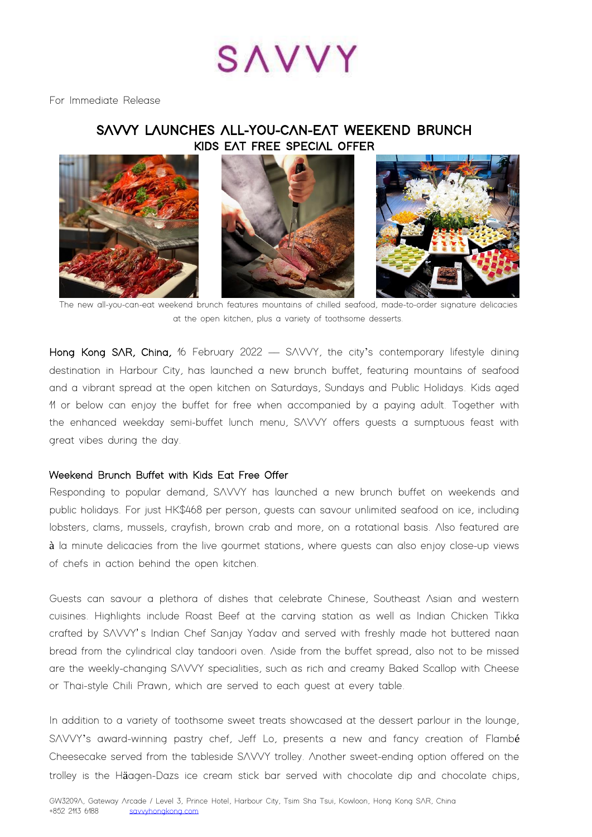# SAVVY

For Immediate Release

# **SAVVY LAUNCHES ALL-YOU-CAN-EAT WEEKEND BRUNCH KIDS EAT FREE SPECIAL OFFER**



The new all-you-can-eat weekend brunch features mountains of chilled seafood, made-to-order signature delicacies at the open kitchen, plus a variety of toothsome desserts.

Hong Kong SAR, China, 16 February 2022 - SAVVY, the city's contemporary lifestyle dining destination in Harbour City, has launched a new brunch buffet, featuring mountains of seafood and a vibrant spread at the open kitchen on Saturdays, Sundays and Public Holidays. Kids aged 11 or below can enjoy the buffet for free when accompanied by a paying adult. Together with the enhanced weekday semi-buffet lunch menu, SAVVY offers guests a sumptuous feast with great vibes during the day.

### Weekend Brunch Buffet with Kids Eat Free Offer

Responding to popular demand, SAVVY has launched a new brunch buffet on weekends and public holidays. For just HK\$468 per person, guests can savour unlimited seafood on ice, including lobsters, clams, mussels, crayfish, brown crab and more, on a rotational basis. Also featured are à la minute delicacies from the live gourmet stations, where guests can also enjoy close-up views of chefs in action behind the open kitchen.

Guests can savour a plethora of dishes that celebrate Chinese, Southeast Asian and western cuisines. Highlights include Roast Beef at the carving station as well as Indian Chicken Tikka crafted by SAVVY' s Indian Chef Sanjay Yadav and served with freshly made hot buttered naan bread from the cylindrical clay tandoori oven. Aside from the buffet spread, also not to be missed are the weekly-changing SAVVY specialities, such as rich and creamy Baked Scallop with Cheese or Thai-style Chili Prawn, which are served to each guest at every table.

In addition to a variety of toothsome sweet treats showcased at the dessert parlour in the lounge, SAVVY's award-winning pastry chef, Jeff Lo, presents a new and fancy creation of Flambé Cheesecake served from the tableside SAVVY trolley. Another sweet-ending option offered on the trolley is the Häagen-Dazs ice cream stick bar served with chocolate dip and chocolate chips,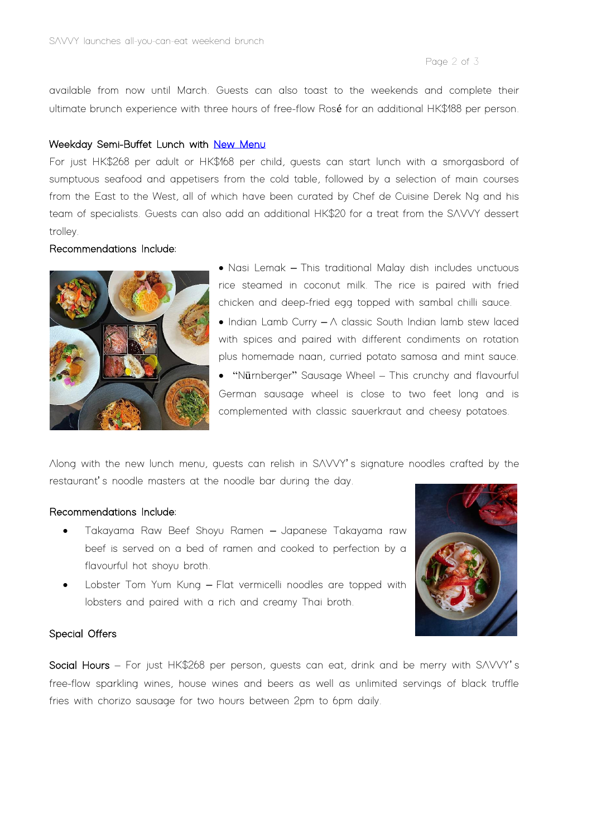Page 2 of 3

available from now until March. Guests can also toast to the weekends and complete their ultimate brunch experience with three hours of free-flow Rosé for an additional HK\$188 per person.

## Weekday Semi-Buffet Lunch with New Menu

For just HK\$268 per adult or HK\$168 per child, guests can start lunch with a smorgasbord of sumptuous seafood and appetisers from the cold table, followed by a selection of main courses from the East to the West, all of which have been curated by Chef de Cuisine Derek Ng and his team of specialists. Guests can also add an additional HK\$20 for a treat from the SAVVY dessert trolley.

# Recommendations Include:



- Nasi Lemak This traditional Malay dish includes unctuous rice steamed in coconut milk. The rice is paired with fried chicken and deep-fried egg topped with sambal chilli sauce.  $\bullet$  Indian Lamb Curry  $-\wedge$  classic South Indian lamb stew laced with spices and paired with different condiments on rotation plus homemade naan, curried potato samosa and mint sauce.
- "Nürnberger" Sausage Wheel This crunchy and flavourful German sausage wheel is close to two feet long and is complemented with classic sauerkraut and cheesy potatoes.

Along with the new lunch menu, guests can relish in SAVVY' s signature noodles crafted by the restaurant' s noodle masters at the noodle bar during the day.

### Recommendations Include:

- Takayama Raw Beef Shoyu Ramen Japanese Takayama raw beef is served on a bed of ramen and cooked to perfection by a flavourful hot shoyu broth.
- Lobster Tom Yum Kung Flat vermicelli noodles are topped with lobsters and paired with a rich and creamy Thai broth.



### Special Offers

Social Hours – For just HK\$268 per person, guests can eat, drink and be merry with SAVVY' s free-flow sparkling wines, house wines and beers as well as unlimited servings of black truffle fries with chorizo sausage for two hours between 2pm to 6pm daily.